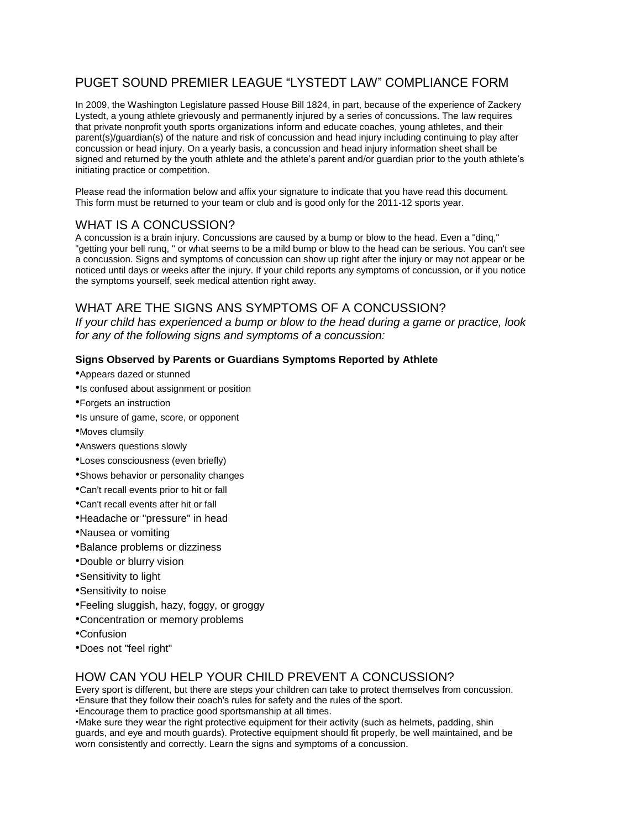# PUGET SOUND PREMIER LEAGUE "LYSTEDT LAW" COMPLIANCE FORM

In 2009, the Washington Legislature passed House Bill 1824, in part, because of the experience of Zackery Lystedt, a young athlete grievously and permanently injured by a series of concussions. The law requires that private nonprofit youth sports organizations inform and educate coaches, young athletes, and their parent(s)/guardian(s) of the nature and risk of concussion and head injury including continuing to play after concussion or head injury. On a yearly basis, a concussion and head injury information sheet shall be signed and returned by the youth athlete and the athlete's parent and/or guardian prior to the youth athlete's initiating practice or competition.

Please read the information below and affix your signature to indicate that you have read this document. This form must be returned to your team or club and is good only for the 2011-12 sports year.

## WHAT IS A CONCUSSION?

A concussion is a brain injury. Concussions are caused by a bump or blow to the head. Even a "dinq," "getting your bell runq, " or what seems to be a mild bump or blow to the head can be serious. You can't see a concussion. Signs and symptoms of concussion can show up right after the injury or may not appear or be noticed until days or weeks after the injury. If your child reports any symptoms of concussion, or if you notice the symptoms yourself, seek medical attention right away.

## WHAT ARE THE SIGNS ANS SYMPTOMS OF A CONCUSSION?

*If your child has experienced a bump or blow to the head during a game or practice, look for any of the following signs and symptoms of a concussion:*

#### **Signs Observed by Parents or Guardians Symptoms Reported by Athlete**

- •Appears dazed or stunned
- •Is confused about assignment or position
- •Forgets an instruction
- •Is unsure of game, score, or opponent
- •Moves clumsily
- •Answers questions slowly
- •Loses consciousness (even briefly)
- •Shows behavior or personality changes
- •Can't recall events prior to hit or fall
- •Can't recall events after hit or fall
- •Headache or "pressure" in head
- •Nausea or vomiting
- •Balance problems or dizziness
- •Double or blurry vision
- •Sensitivity to light
- •Sensitivity to noise
- •Feeling sluggish, hazy, foggy, or groggy
- •Concentration or memory problems
- •Confusion
- •Does not "feel right"

#### HOW CAN YOU HELP YOUR CHILD PREVENT A CONCUSSION?

Every sport is different, but there are steps your children can take to protect themselves from concussion. •Ensure that they follow their coach's rules for safety and the rules of the sport.

•Encourage them to practice good sportsmanship at all times.

•Make sure they wear the right protective equipment for their activity (such as helmets, padding, shin guards, and eye and mouth guards). Protective equipment should fit properly, be well maintained, and be worn consistently and correctly. Learn the signs and symptoms of a concussion.